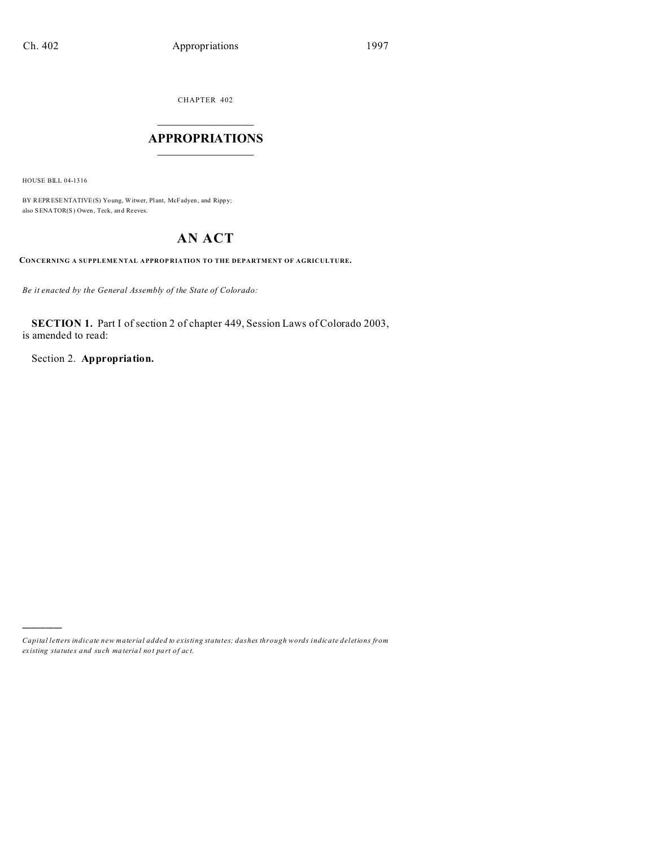CHAPTER 402  $\overline{\phantom{a}}$  , where  $\overline{\phantom{a}}$ 

## **APPROPRIATIONS**  $\_$   $\_$   $\_$   $\_$   $\_$   $\_$   $\_$   $\_$

HOUSE BILL 04-1316

)))))

BY REPRESENTATIVE(S) Young, Witwer, Plant, McFadyen, and Rippy; also SENATOR(S) Owen, Teck, an d Reeves.

# **AN ACT**

**CONCERNING A SUPPLEME NTAL APPROP RIATION TO THE DEPARTMENT OF AGRICULTURE.**

*Be it enacted by the General Assembly of the State of Colorado:*

**SECTION 1.** Part I of section 2 of chapter 449, Session Laws of Colorado 2003, is amended to read:

Section 2. **Appropriation.**

*Capital letters indicate new material added to existing statutes; dashes through words indicate deletions from ex isting statute s and such ma teria l no t pa rt of ac t.*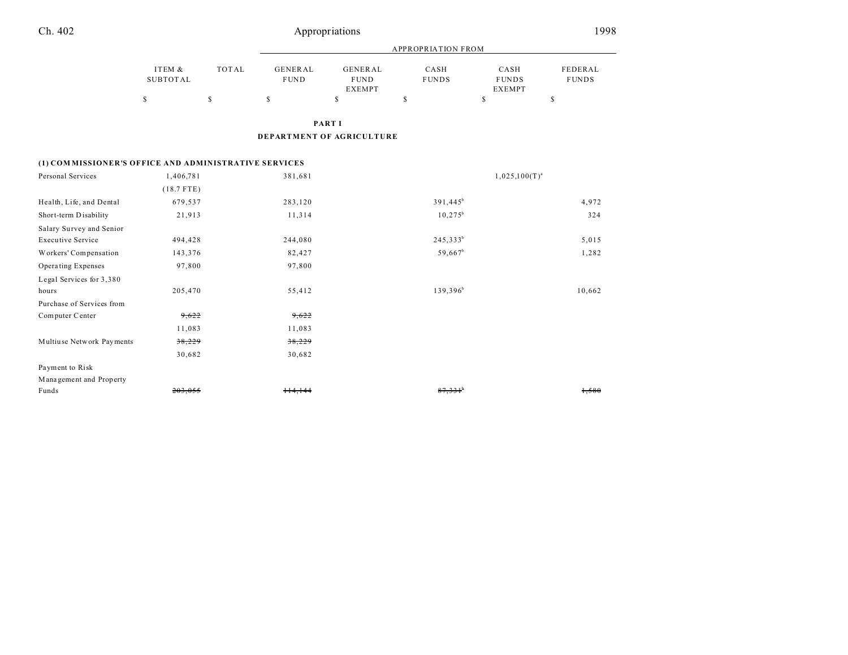| Ch. 402 | Appropriations | 1998 |
|---------|----------------|------|
|         |                |      |

| ITEM &<br>TOTAL | GENERAL     | <b>GENERAL</b> | CASH         | CASH         | FEDERAL            |
|-----------------|-------------|----------------|--------------|--------------|--------------------|
| SUBTOTAL        | <b>FUND</b> | <b>FUND</b>    | <b>FUNDS</b> | <b>FUNDS</b> | <b>FUNDS</b>       |
|                 |             | <b>EXEMPT</b>  |              | EXEMPT       |                    |
| S               | ъ           | s              | \$           | S            | Φ                  |
|                 |             |                |              |              |                    |
|                 |             |                |              |              |                    |
|                 |             |                | PART I       |              | APPROPRIATION FROM |

**DEPARTMENT OF AGRICULTURE**

#### **(1) COM MISSIONER'S OFFICE AND ADMINISTRATIVE SERVICES**

| Personal Services         | 1,406,781    | 381,681 | $1,025,100(T)^{a}$    |        |
|---------------------------|--------------|---------|-----------------------|--------|
|                           | $(18.7$ FTE) |         |                       |        |
| Health, Life, and Dental  | 679,537      | 283,120 | $391,445^b$           | 4,972  |
| Short-term Disability     | 21,913       | 11,314  | $10,275^{\rm b}$      | 324    |
| Salary Survey and Senior  |              |         |                       |        |
| <b>Executive Service</b>  | 494,428      | 244,080 | $245,333^{b}$         | 5,015  |
| Workers' Compensation     | 143,376      | 82,427  | $59,667^b$            | 1,282  |
| Operating Expenses        | 97,800       | 97,800  |                       |        |
| Legal Services for 3,380  |              |         |                       |        |
| hours                     | 205,470      | 55,412  | $139,396^b$           | 10,662 |
| Purchase of Services from |              |         |                       |        |
| Computer Center           | 9,622        | 9,622   |                       |        |
|                           | 11,083       | 11,083  |                       |        |
| Multiuse Network Payments | 38,229       | 38,229  |                       |        |
|                           | 30,682       | 30,682  |                       |        |
| Payment to Risk           |              |         |                       |        |
| Management and Property   |              |         |                       |        |
| Funds                     | 203,055      | 114,144 | $87,331$ <sup>b</sup> | 1,580  |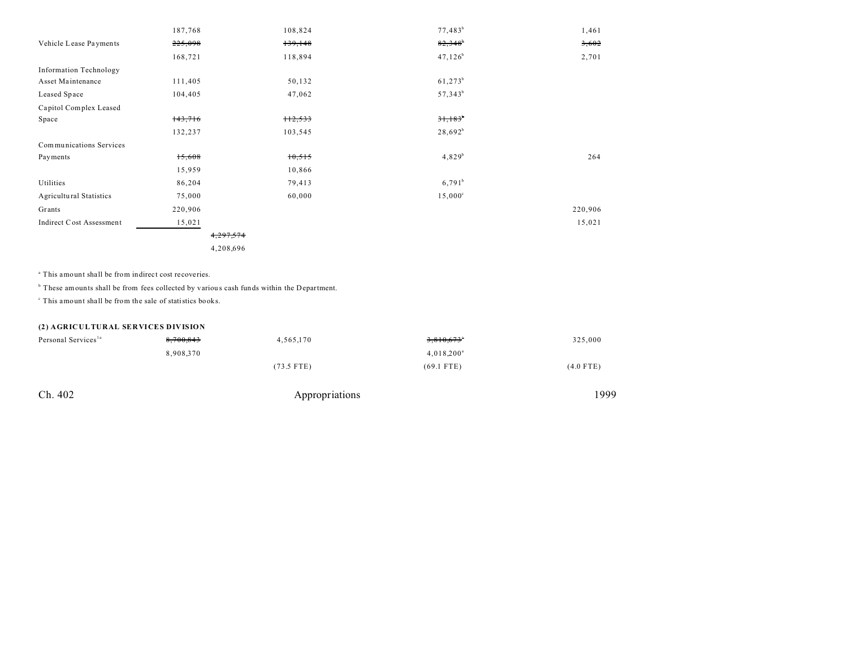|                                | 187,768   | 108,824   | $77,483^b$            | 1,461   |
|--------------------------------|-----------|-----------|-----------------------|---------|
| Vehicle Lease Payments         | 225,098   | 139,148   | $82,348$ <sup>b</sup> | 3,602   |
|                                | 168,721   | 118,894   | $47,126^b$            | 2,701   |
| <b>Information Technology</b>  |           |           |                       |         |
| Asset Maintenance              | 111,405   | 50,132    | $61,273^b$            |         |
| Leased Space                   | 104,405   | 47,062    | $57,343^b$            |         |
| Capitol Complex Leased         |           |           |                       |         |
| Space                          | 143,716   | $+12,533$ | $31,183$ <sup>*</sup> |         |
|                                | 132,237   | 103,545   | $28,692^b$            |         |
| Communications Services        |           |           |                       |         |
| Payments                       | 15,608    | 10,515    | $4,829^{b}$           | 264     |
|                                | 15,959    | 10,866    |                       |         |
| Utilities                      | 86,204    | 79,413    | $6,791^b$             |         |
| <b>Agricultural Statistics</b> | 75,000    | 60,000    | $15,000^{\circ}$      |         |
| Grants                         | 220,906   |           |                       | 220,906 |
| Indirect Cost Assessment       | 15,021    |           |                       | 15,021  |
|                                | 4,297,574 |           |                       |         |
|                                | 4,208,696 |           |                       |         |

a This amount shall be from indirect cost recoveries.

<sup>b</sup> These amounts shall be from fees collected by various cash funds within the Department.

c This amount shall be from the sale of statistics books.

## **(2) AGRICULTURAL SERVICES DIVISION**

| Personal Services <sup>1a</sup> | 8,700,843 | 4,565,170    | 3,810,673°    | 325,000     |
|---------------------------------|-----------|--------------|---------------|-------------|
|                                 | 8,908,370 |              | $4,018,200^a$ |             |
|                                 |           | $(73.5$ FTE) | $(69.1$ FTE)  | $(4.0$ FTE) |

Ch. 402 Appropriations 1999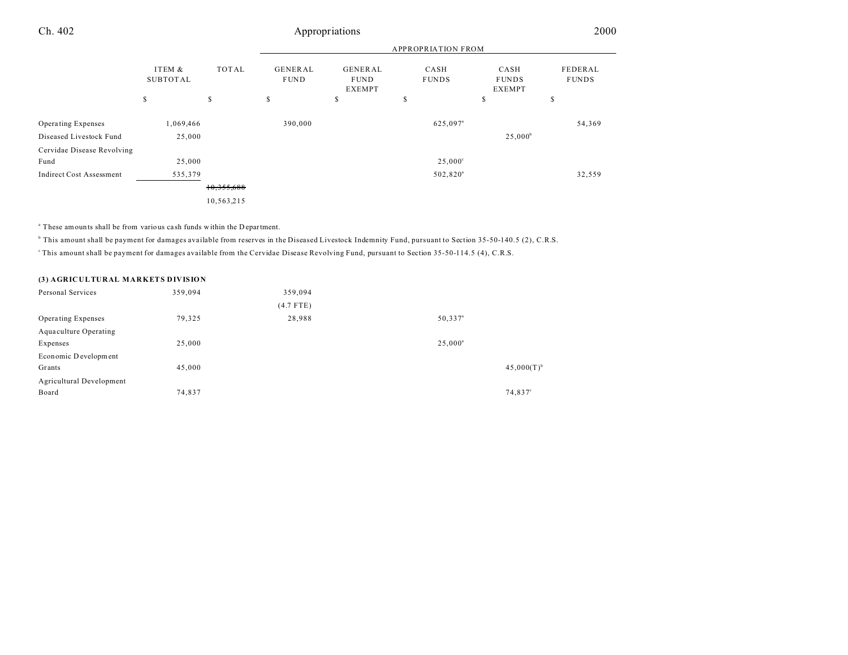# Ch. 402 Appropriations 2000

| ITEM &<br><b>SUBTOTAL</b> | TOTAL      | <b>GENERAL</b><br><b>FUND</b> | <b>GENERAL</b><br><b>FUND</b><br><b>EXEMPT</b> | CASH<br><b>FUNDS</b> | CASH<br><b>FUNDS</b><br><b>EXEMPT</b> | FEDERAL<br><b>FUNDS</b>   |
|---------------------------|------------|-------------------------------|------------------------------------------------|----------------------|---------------------------------------|---------------------------|
| \$                        | \$         | S                             | s                                              | \$                   | \$                                    | \$                        |
| 1,069,466                 |            | 390,000                       |                                                | 625,097 <sup>a</sup> |                                       | 54,369                    |
| 25,000                    |            |                               |                                                |                      | $25,000^b$                            |                           |
|                           |            |                               |                                                |                      |                                       |                           |
| 25,000                    |            |                               |                                                | $25,000^{\circ}$     |                                       |                           |
| 535,379                   |            |                               |                                                | 502,820 <sup>a</sup> |                                       | 32,559                    |
|                           | 10,355,688 |                               |                                                |                      |                                       |                           |
|                           | 10,563,215 |                               |                                                |                      |                                       |                           |
|                           |            |                               |                                                |                      |                                       | <b>APPROPRIATION FROM</b> |

<sup>a</sup> These amounts shall be from various cash funds within the Department.

b This amount shall be payment for damages available from reserves in the Diseased Livestock Indemnity Fund, pursuant to Section 35-50-140.5 (2), C.R.S.

<sup>c</sup>This amount shall be payment for damages available from the Cervidae Disease Revolving Fund, pursuant to Section 35-50-114.5 (4), C.R.S.

### **(3) AGRICULTURAL MARKETS DIVISION**

| Personal Services        | 359,094 | 359,094     |                          |
|--------------------------|---------|-------------|--------------------------|
|                          |         | $(4.7$ FTE) |                          |
| Operating Expenses       | 79,325  | 28,988      | $50,337$ <sup>a</sup>    |
| Aquaculture Operating    |         |             |                          |
| Expenses                 | 25,000  |             | $25,000^a$               |
| Economic Development     |         |             |                          |
| Grants                   | 45,000  |             | $45,000(T)$ <sup>b</sup> |
| Agricultural Development |         |             |                          |
| Board                    | 74,837  |             | 74,837°                  |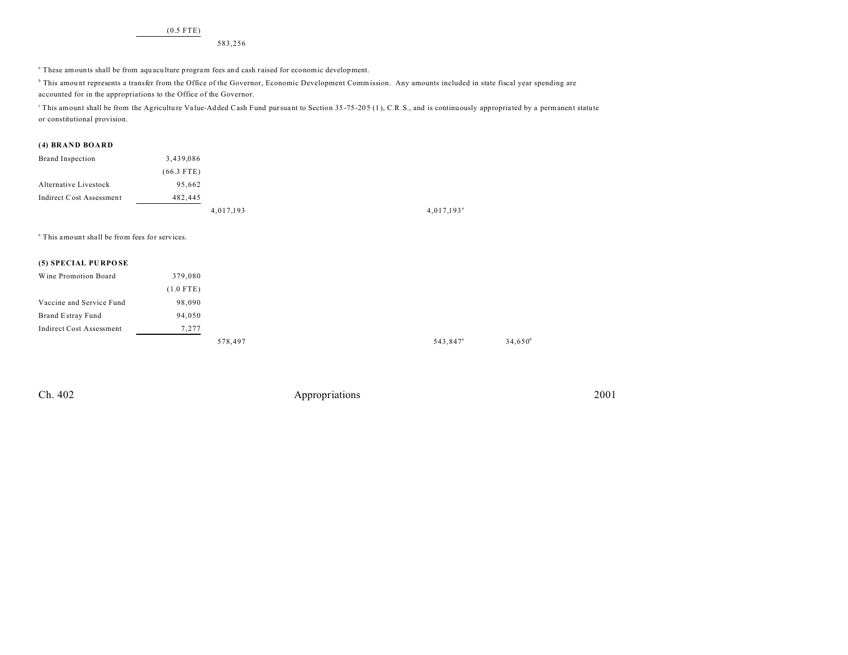(0.5 FTE)

583,256

a These amounts shall be from aqu acu lture program fees and cash r aised for economic development.

b This amou nt represents a transfer from the Office of the Governor, Economic Development Commission. Any amounts included in state fiscal year spending are accounted for in the appropriations to the Office of the Governor.

<sup>e</sup> This amount shall be from the Agriculture Value-Added Cash Fund pursuant to Section 35-75-205 (1), C.R.S., and is continuously appropriated by a permanent statute or constitutional provision.

#### **(4) BRAND BOARD**

| Brand Inspection          | 3,439,086    |           |                          |
|---------------------------|--------------|-----------|--------------------------|
|                           | $(66.3$ FTE) |           |                          |
| Alternative Livestock     | 95.662       |           |                          |
| Indirect C ost Assessment | 482.445      |           |                          |
|                           |              | 4,017,193 | $4,017,193$ <sup>a</sup> |

a This amount shall be from fees for services.

#### **(5) SPECIAL PU RPO SE**

| Wine Promotion Board     | 379,080     |         |  |
|--------------------------|-------------|---------|--|
|                          | $(1.0$ FTE) |         |  |
| Vaccine and Service Fund | 98,090      |         |  |
| Brand Estray Fund        | 94,050      |         |  |
| Indirect Cost Assessment | 7,277       |         |  |
|                          |             | 578,497 |  |

Ch. 402 Appropriations 2001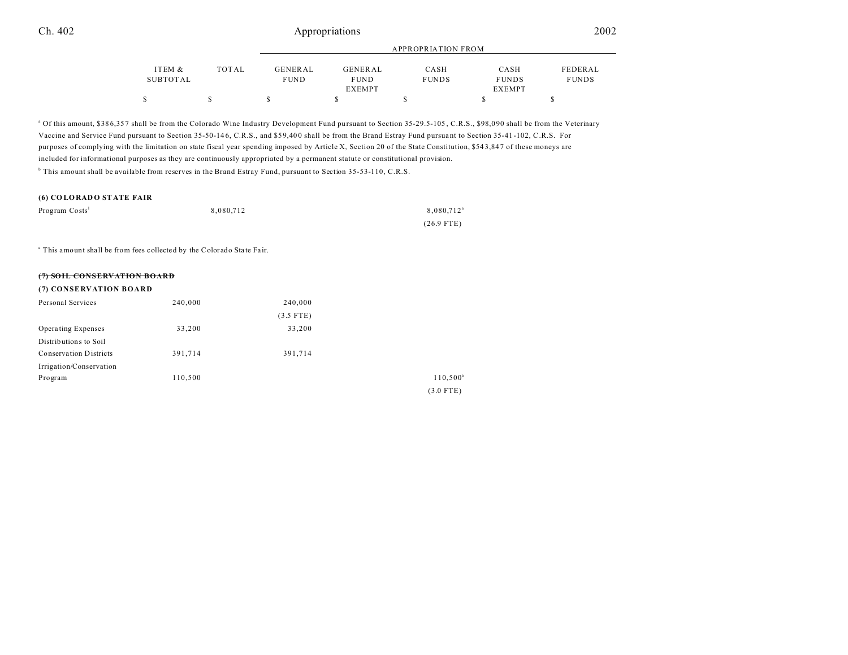# Ch. 402 Appropriations 2002

|          |       |             |                | APPROPRIATION FROM |               |              |
|----------|-------|-------------|----------------|--------------------|---------------|--------------|
| ITEM &   | TOTAL | GENERAL     | <b>GENERAL</b> | CASH               | CASH          | FEDERAL      |
| SUBTOTAL |       | <b>FUND</b> | <b>FUND</b>    | <b>FUNDS</b>       | <b>FUNDS</b>  | <b>FUNDS</b> |
|          |       |             | <b>EXEMPT</b>  |                    | <b>EXEMPT</b> |              |
|          |       |             |                |                    |               |              |

<sup>a</sup> Of this amount, \$386,357 shall be from the Colorado Wine Industry Development Fund pursuant to Section 35-29.5-105, C.R.S., \$98,090 shall be from the Veterinary Vaccine and Service Fund pursuant to Section 35-50-14 6, C.R.S., and \$5 9,40 0 shall be from the Brand Estray Fund pursua nt to Section 35-41 -102, C.R.S. For purposes of complying with the limitation on state fiscal year spending imposed by Article X, Section 20 of the State Constitution, \$54 3,84 7 of these moneys are included for informational purposes as they are continuously appropriated by a permanent statute or constitutional provision. b This amount shall be available from reserves in the Brand Estray Fund, pursuant to Section 35-53-110, C.R.S.

#### **(6) CO LORAD O ST ATE FAIR**

| Program Costs <sup>1</sup> | 8.080.712 | 8.080.712 <sup>a</sup> |
|----------------------------|-----------|------------------------|
|                            |           | $(26.9$ FTE)           |

<sup>a</sup> This amount shall be from fees collected by the Colorado State Fair.

| <u>(5) CAIL CONCEDV LTION BO LBB</u> |         |             |                   |
|--------------------------------------|---------|-------------|-------------------|
| (7) CONSERVATION BOARD               |         |             |                   |
| Personal Services                    | 240,000 | 240,000     |                   |
|                                      |         | $(3.5$ FTE) |                   |
| Operating Expenses                   | 33,200  | 33,200      |                   |
| Distributions to Soil                |         |             |                   |
| <b>Conservation Districts</b>        | 391,714 | 391,714     |                   |
| Irrigation/Conservation              |         |             |                   |
| Program                              | 110,500 |             | $110,500^{\circ}$ |
|                                      |         |             | $(3.0$ FTE)       |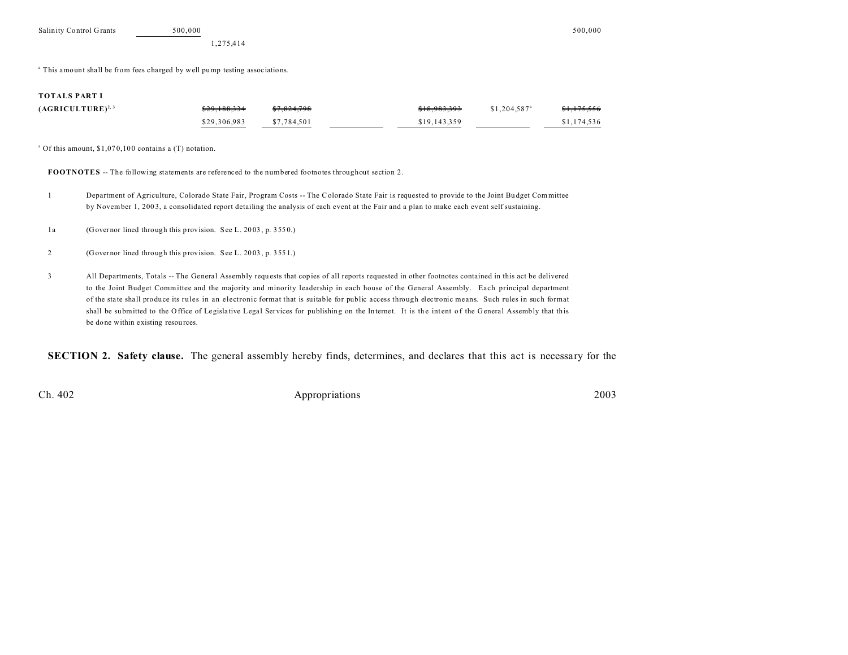<sup>a</sup> This amount shall be from fees charged by well pump testing associations.

#### **TOTALS PART I**

| $(AGRICULTURE)^{2,3}$ | <del>\$29,188,334</del> | <del>\$7.824.798</del> | \$18,983,393 | $$1,204.587$ <sup>a</sup> | <del>\$1,175,556</del> |
|-----------------------|-------------------------|------------------------|--------------|---------------------------|------------------------|
|                       | \$29,306,983            | \$7.784.501            | \$19,143,359 |                           | \$1,174,536            |

<sup>a</sup> Of this amount, \$1,070,100 contains a (T) notation.

**FOOTNOTES** -- The following statements are referenced to the numbered footnotes throughout section 2.

1 Department of Agriculture, Colorado State Fair, Program Costs -- The Colorado State Fair is requested to provide to the Joint Bu dget Committee by November 1, 200 3, a consolidated report detailing the analysis of each event at the Fair and a plan to make each event self sustaining.

1a (Governor lined through this provision. See L. 2003, p. 3550.)

- 2 (Governor lined through this provision. See L. 20 03 , p. 355 1.)
- 3 All Departments, Totals -- The General Assembly requ ests that copies of all reports requested in other footnotes contained in this act be delivered to the Joint Budget Committee and the majority and minority leadership in each house of the General Assembly. Each principal department of the sta te sha ll produce its rules in an electronic format that is suitable for public access through electronic means. Such rules in such format shall be submitted to the Office of Legislative Legal Services for publishing on the Internet. It is the intent of the General Assembly that this be done within existing resou rces.

**SECTION 2. Safety clause.** The general assembly hereby finds, determines, and declares that this act is necessary for the

Ch. 402 Appropriations 2003